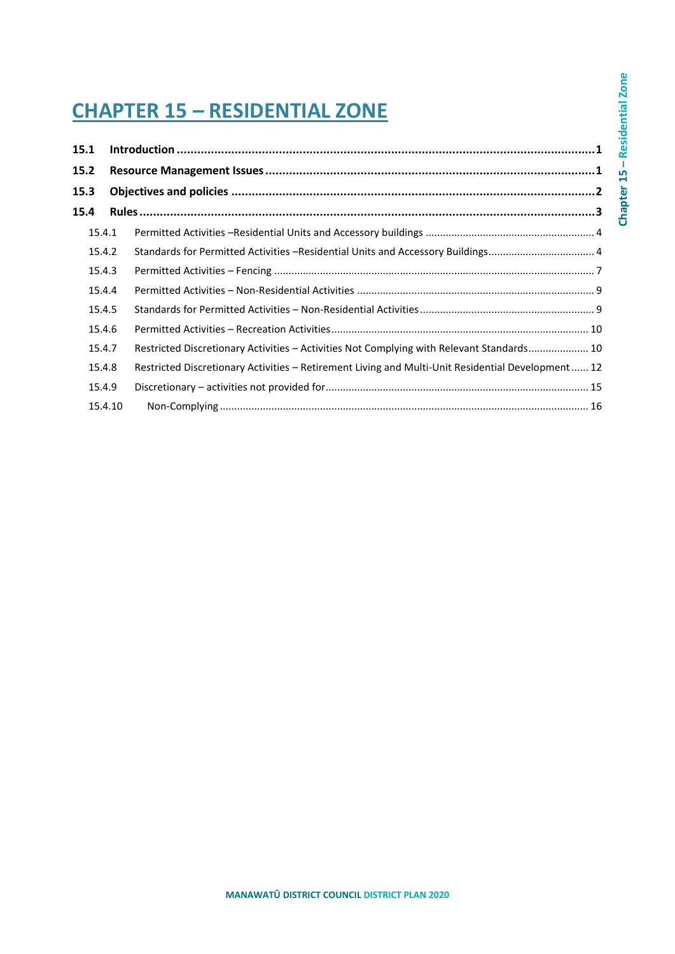# **CHAPTER 15 – RESIDENTIAL ZONE**

| 15.1   |         |                                                                                                   |
|--------|---------|---------------------------------------------------------------------------------------------------|
| 15.2   |         |                                                                                                   |
| 15.3   |         |                                                                                                   |
| 15.4   |         |                                                                                                   |
| 15.4.1 |         |                                                                                                   |
| 15.4.2 |         | Standards for Permitted Activities -Residential Units and Accessory Buildings 4                   |
| 15.4.3 |         |                                                                                                   |
| 15.4.4 |         |                                                                                                   |
| 15.4.5 |         |                                                                                                   |
| 15.4.6 |         |                                                                                                   |
| 15.4.7 |         | Restricted Discretionary Activities - Activities Not Complying with Relevant Standards 10         |
| 15.4.8 |         | Restricted Discretionary Activities - Retirement Living and Multi-Unit Residential Development 12 |
| 15.4.9 |         |                                                                                                   |
|        | 15.4.10 |                                                                                                   |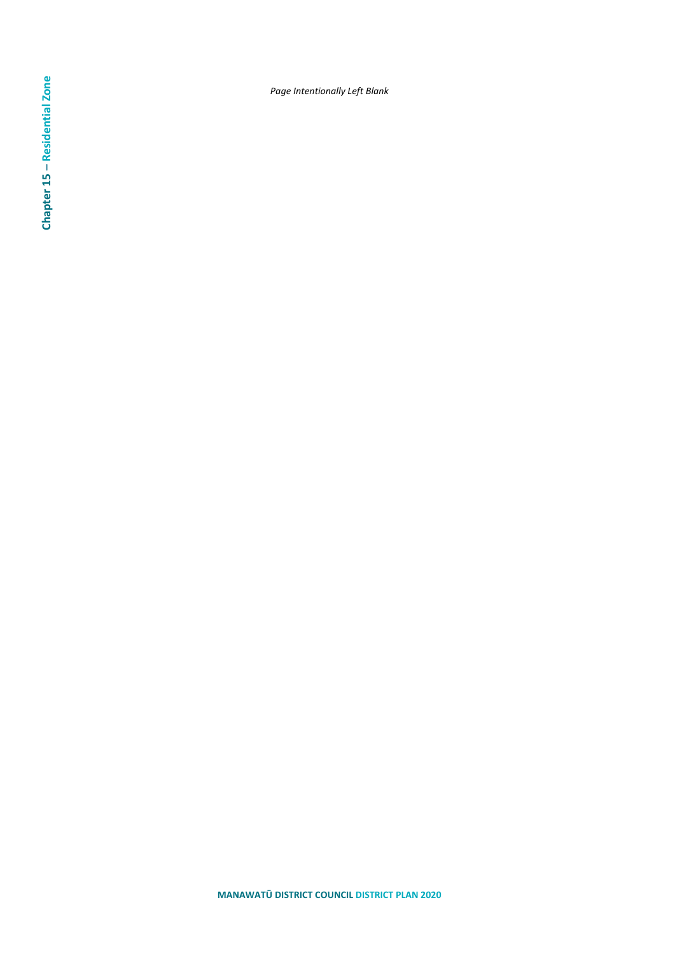*Page Intentionally Left Blank*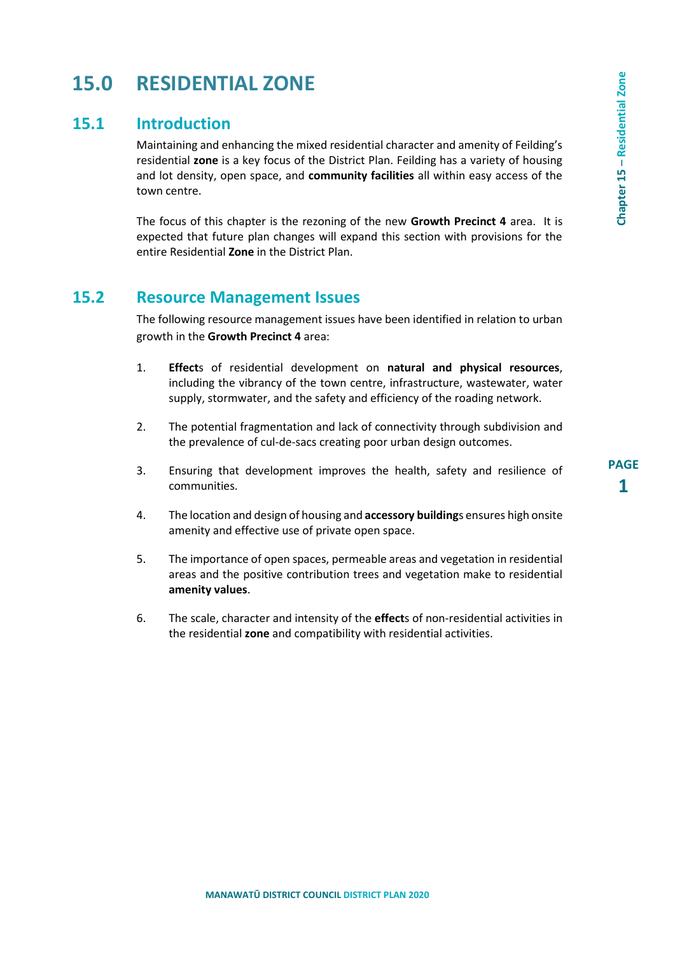# **15.0 RESIDENTIAL ZONE**

# <span id="page-2-0"></span>**15.1 Introduction**

Maintaining and enhancing the mixed residential character and amenity of Feilding's residential **zone** is a key focus of the District Plan. Feilding has a variety of housing and lot density, open space, and **community facilities** all within easy access of the town centre.

The focus of this chapter is the rezoning of the new **Growth Precinct 4** area. It is expected that future plan changes will expand this section with provisions for the entire Residential **Zone** in the District Plan.

# <span id="page-2-1"></span>**15.2 Resource Management Issues**

The following resource management issues have been identified in relation to urban growth in the **Growth Precinct 4** area:

- 1. **Effect**s of residential development on **natural and physical resources**, including the vibrancy of the town centre, infrastructure, wastewater, water supply, stormwater, and the safety and efficiency of the roading network.
- 2. The potential fragmentation and lack of connectivity through subdivision and the prevalence of cul-de-sacs creating poor urban design outcomes.
- 3. Ensuring that development improves the health, safety and resilience of communities.
- 4. The location and design of housing and **accessory building**s ensures high onsite amenity and effective use of private open space.
- 5. The importance of open spaces, permeable areas and vegetation in residential areas and the positive contribution trees and vegetation make to residential **amenity values**.
- 6. The scale, character and intensity of the **effect**s of non-residential activities in the residential **zone** and compatibility with residential activities.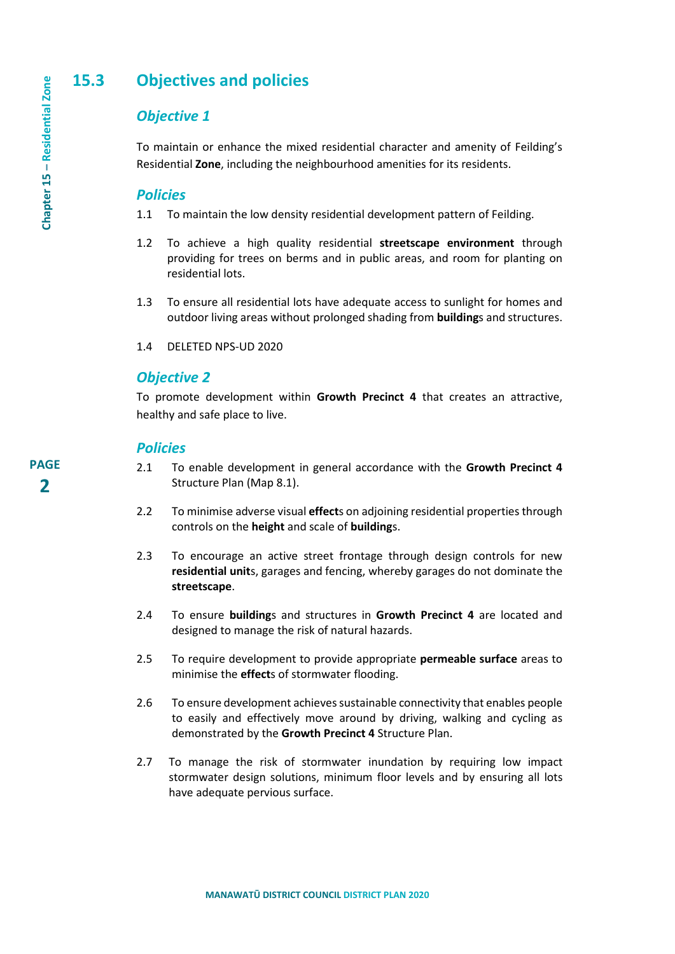# <span id="page-3-0"></span>**15.3 Objectives and policies**

# *Objective 1*

To maintain or enhance the mixed residential character and amenity of Feilding's Residential **Zone**, including the neighbourhood amenities for its residents.

#### *Policies*

- 1.1 To maintain the low density residential development pattern of Feilding.
- 1.2 To achieve a high quality residential **streetscape environment** through providing for trees on berms and in public areas, and room for planting on residential lots.
- 1.3 To ensure all residential lots have adequate access to sunlight for homes and outdoor living areas without prolonged shading from **building**s and structures.
- 1.4 DELETED NPS-UD 2020

## *Objective 2*

To promote development within **Growth Precinct 4** that creates an attractive, healthy and safe place to live.

#### *Policies*

- 2.1 To enable development in general accordance with the **Growth Precinct 4** Structure Plan (Map 8.1).
- 2.2 To minimise adverse visual **effect**s on adjoining residential properties through controls on the **height** and scale of **building**s.
- 2.3 To encourage an active street frontage through design controls for new **residential unit**s, garages and fencing, whereby garages do not dominate the **streetscape**.
- 2.4 To ensure **building**s and structures in **Growth Precinct 4** are located and designed to manage the risk of natural hazards.
- 2.5 To require development to provide appropriate **permeable surface** areas to minimise the **effect**s of stormwater flooding.
- 2.6 To ensure development achieves sustainable connectivity that enables people to easily and effectively move around by driving, walking and cycling as demonstrated by the **Growth Precinct 4** Structure Plan.
- 2.7 To manage the risk of stormwater inundation by requiring low impact stormwater design solutions, minimum floor levels and by ensuring all lots have adequate pervious surface.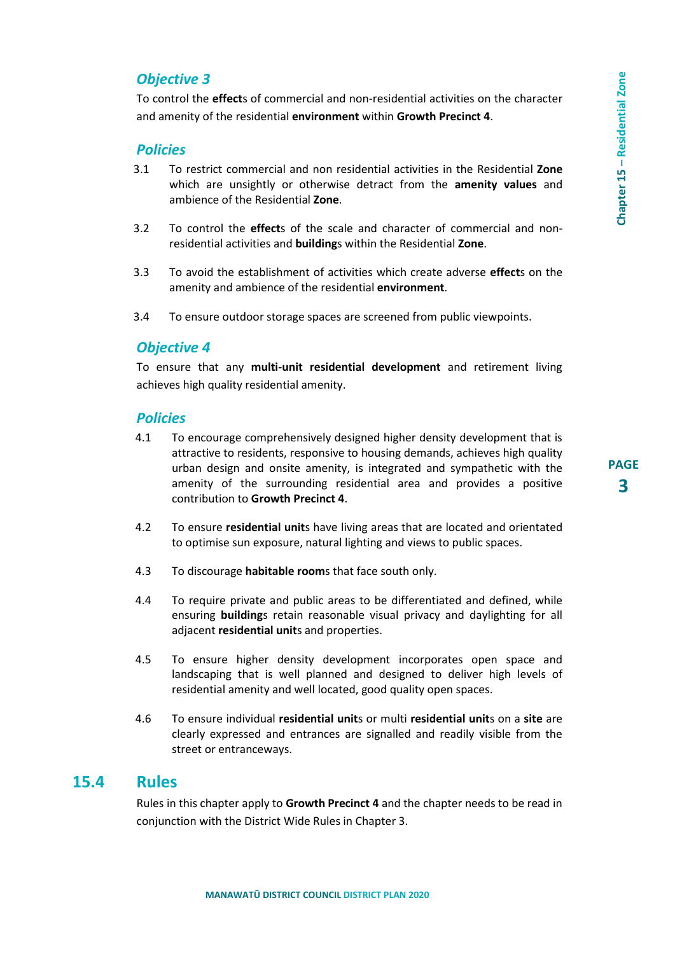# *Objective 3*

To control the **effect**s of commercial and non-residential activities on the character and amenity of the residential **environment** within **Growth Precinct 4**.

### *Policies*

- 3.1 To restrict commercial and non residential activities in the Residential **Zone** which are unsightly or otherwise detract from the **amenity values** and ambience of the Residential **Zone**.
- 3.2 To control the **effect**s of the scale and character of commercial and nonresidential activities and **building**s within the Residential **Zone**.
- 3.3 To avoid the establishment of activities which create adverse **effect**s on the amenity and ambience of the residential **environment**.
- 3.4 To ensure outdoor storage spaces are screened from public viewpoints.

### *Objective 4*

To ensure that any **multi-unit residential development** and retirement living achieves high quality residential amenity.

### *Policies*

- 4.1 To encourage comprehensively designed higher density development that is attractive to residents, responsive to housing demands, achieves high quality urban design and onsite amenity, is integrated and sympathetic with the amenity of the surrounding residential area and provides a positive contribution to **Growth Precinct 4**.
- 4.2 To ensure **residential unit**s have living areas that are located and orientated to optimise sun exposure, natural lighting and views to public spaces.
- 4.3 To discourage **habitable room**s that face south only.
- 4.4 To require private and public areas to be differentiated and defined, while ensuring **building**s retain reasonable visual privacy and daylighting for all adjacent **residential unit**s and properties.
- 4.5 To ensure higher density development incorporates open space and landscaping that is well planned and designed to deliver high levels of residential amenity and well located, good quality open spaces.
- 4.6 To ensure individual **residential unit**s or multi **residential unit**s on a **site** are clearly expressed and entrances are signalled and readily visible from the street or entranceways.

# <span id="page-4-0"></span>**15.4 Rules**

Rules in this chapter apply to **Growth Precinct 4** and the chapter needs to be read in conjunction with the District Wide Rules in Chapter 3.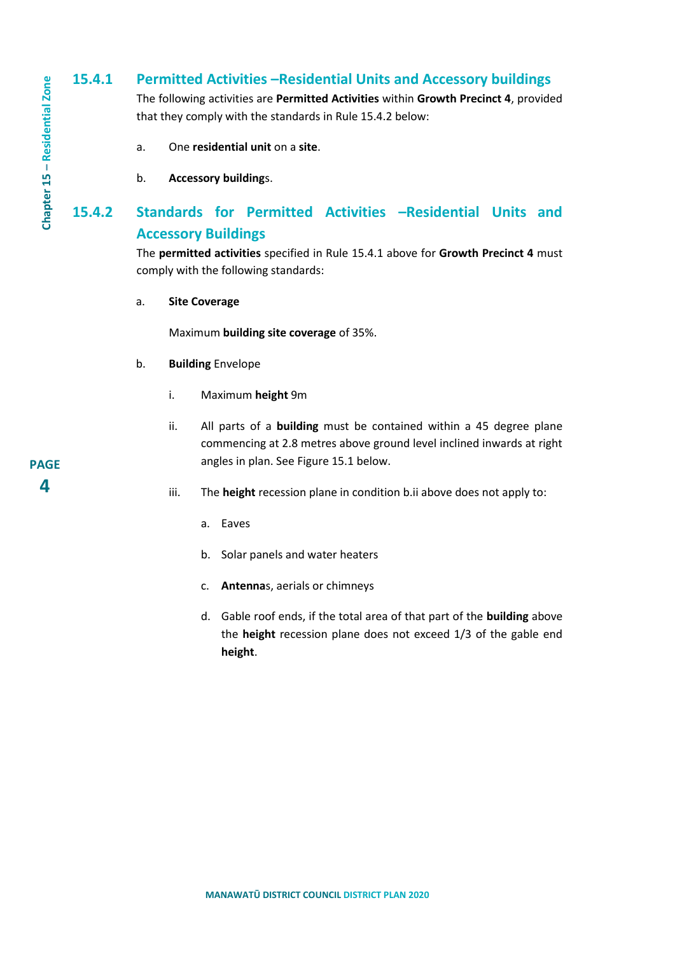# <span id="page-5-0"></span>**15.4.1 Permitted Activities –Residential Units and Accessory buildings**

The following activities are **Permitted Activities** within **Growth Precinct 4**, provided that they comply with the standards in Rule 15.4.2 below:

- a. One **residential unit** on a **site**.
- b. **Accessory building**s.

# <span id="page-5-1"></span>**15.4.2 Standards for Permitted Activities –Residential Units and Accessory Buildings**

The **permitted activities** specified in Rule 15.4.1 above for **Growth Precinct 4** must comply with the following standards:

#### a. **Site Coverage**

Maximum **building site coverage** of 35%.

#### b. **Building** Envelope

- i. Maximum **height** 9m
- ii. All parts of a **building** must be contained within a 45 degree plane commencing at 2.8 metres above ground level inclined inwards at right angles in plan. See Figure 15.1 below.
- iii. The **height** recession plane in condition b.ii above does not apply to:
	- a. Eaves
	- b. Solar panels and water heaters
	- c. **Antenna**s, aerials or chimneys
	- d. Gable roof ends, if the total area of that part of the **building** above the **height** recession plane does not exceed 1/3 of the gable end **height**.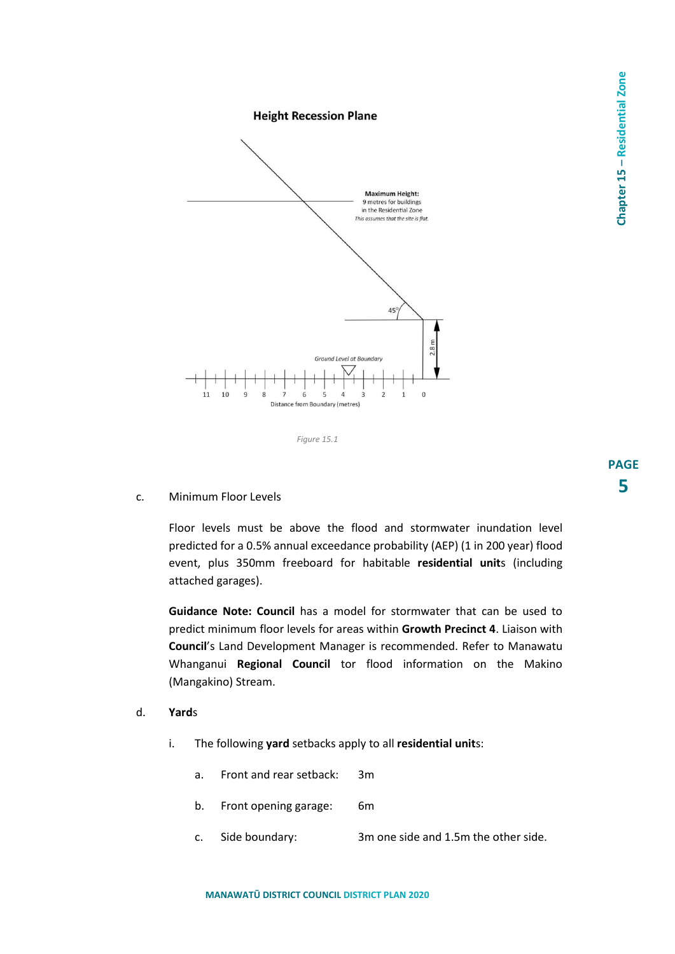

*Figure 15.1*

c. Minimum Floor Levels

Floor levels must be above the flood and stormwater inundation level predicted for a 0.5% annual exceedance probability (AEP) (1 in 200 year) flood event, plus 350mm freeboard for habitable **residential unit**s (including attached garages).

**Guidance Note: Council** has a model for stormwater that can be used to predict minimum floor levels for areas within **Growth Precinct 4**. Liaison with **Council**'s Land Development Manager is recommended. Refer to Manawatu Whanganui **Regional Council** tor flood information on the Makino (Mangakino) Stream.

#### d. **Yard**s

- i. The following **yard** setbacks apply to all **residential unit**s:
	- a. Front and rear setback: 3m
	- b. Front opening garage: 6m
	- c. Side boundary: 3m one side and 1.5m the other side.

**Chapter 15** 

**– Residential Zone**

**Chapter 15 - Residential Zone**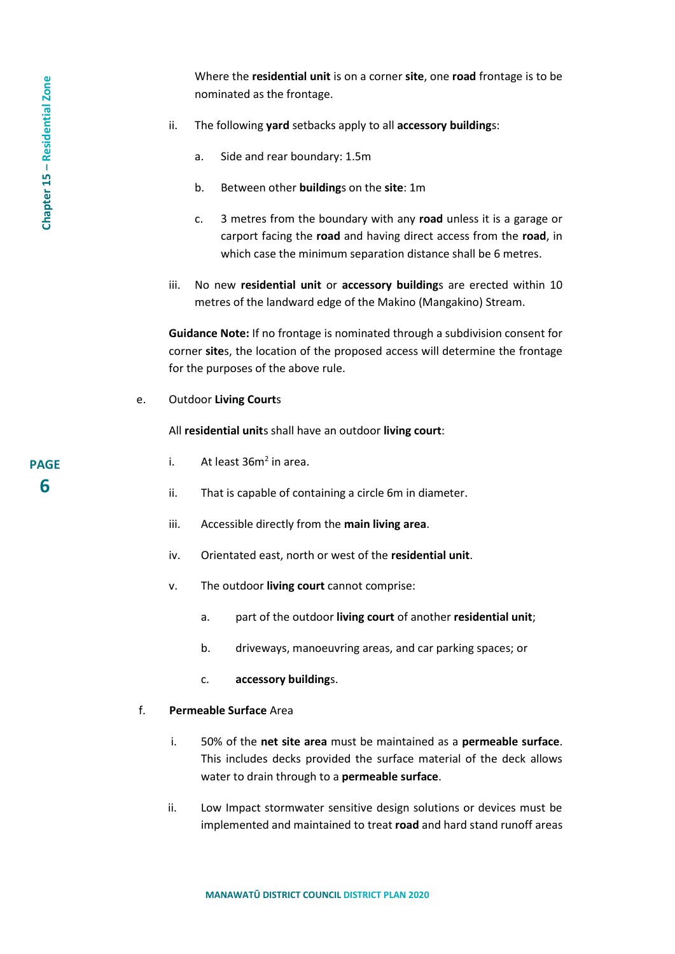Chapter 15 - Residential Zone **– Residential Zone Chapter 15** 

Where the **residential unit** is on a corner **site**, one **road** frontage is to be nominated as the frontage.

- ii. The following **yard** setbacks apply to all **accessory building**s:
	- a. Side and rear boundary: 1.5m
	- b. Between other **building**s on the **site**: 1m
	- c. 3 metres from the boundary with any **road** unless it is a garage or carport facing the **road** and having direct access from the **road**, in which case the minimum separation distance shall be 6 metres.
- iii. No new **residential unit** or **accessory building**s are erected within 10 metres of the landward edge of the Makino (Mangakino) Stream.

**Guidance Note:** If no frontage is nominated through a subdivision consent for corner **site**s, the location of the proposed access will determine the frontage for the purposes of the above rule.

#### e. Outdoor **Living Court**s

All **residential unit**s shall have an outdoor **living court**:

- i. At least  $36m<sup>2</sup>$  in area.
	- ii. That is capable of containing a circle 6m in diameter.
	- iii. Accessible directly from the **main living area**.
	- iv. Orientated east, north or west of the **residential unit**.
	- v. The outdoor **living court** cannot comprise:
		- a. part of the outdoor **living court** of another **residential unit**;
		- b. driveways, manoeuvring areas, and car parking spaces; or
		- c. **accessory building**s.

#### f. **Permeable Surface** Area

- i. 50% of the **net site area** must be maintained as a **permeable surface**. This includes decks provided the surface material of the deck allows water to drain through to a **permeable surface**.
- ii. Low Impact stormwater sensitive design solutions or devices must be implemented and maintained to treat **road** and hard stand runoff areas

**MANAWATŪ DISTRICT COUNCIL DISTRICT PLAN 2020**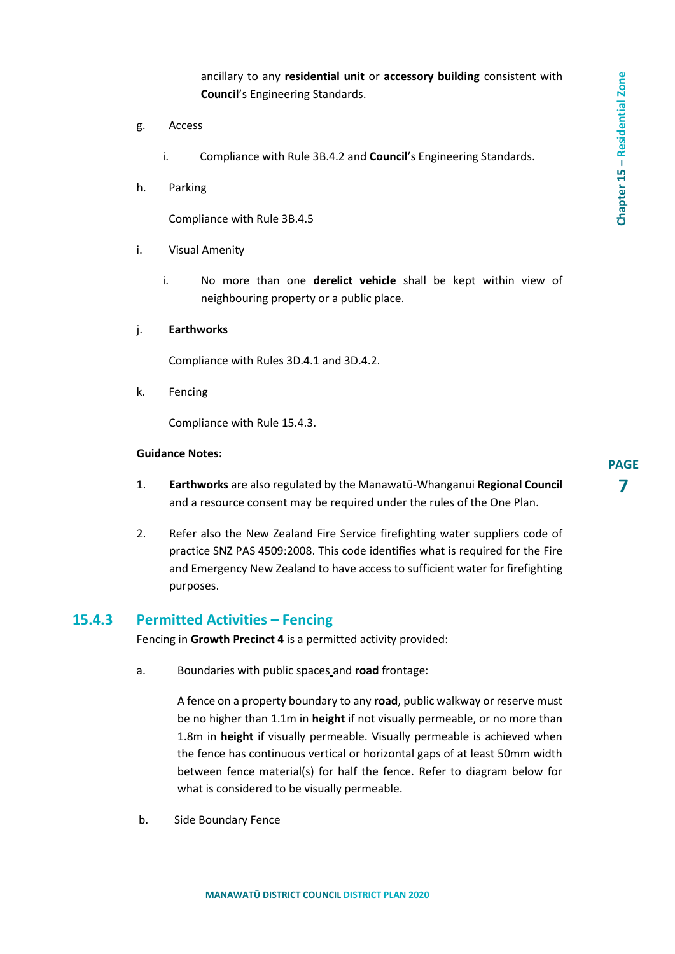ancillary to any **residential unit** or **accessory building** consistent with **Council**'s Engineering Standards.

- g. Access
	- i. Compliance with Rule 3B.4.2 and **Council**'s Engineering Standards.
- h. Parking

Compliance with Rule 3B.4.5

- i. Visual Amenity
	- i. No more than one **derelict vehicle** shall be kept within view of neighbouring property or a public place.

#### j. **Earthworks**

Compliance with Rules 3D.4.1 and 3D.4.2.

k. Fencing

Compliance with Rule 15.4.3.

#### **Guidance Notes:**

- 1. **Earthworks** are also regulated by the Manawatū-Whanganui **Regional Council** and a resource consent may be required under the rules of the One Plan.
- 2. Refer also the New Zealand Fire Service firefighting water suppliers code of practice SNZ PAS 4509:2008. This code identifies what is required for the Fire and Emergency New Zealand to have access to sufficient water for firefighting purposes.

### <span id="page-8-0"></span>**15.4.3 Permitted Activities – Fencing**

Fencing in **Growth Precinct 4** is a permitted activity provided:

a. Boundaries with public spaces and **road** frontage:

A fence on a property boundary to any **road**, public walkway or reserve must be no higher than 1.1m in **height** if not visually permeable, or no more than 1.8m in **height** if visually permeable. Visually permeable is achieved when the fence has continuous vertical or horizontal gaps of at least 50mm width between fence material(s) for half the fence. Refer to diagram below for what is considered to be visually permeable.

b. Side Boundary Fence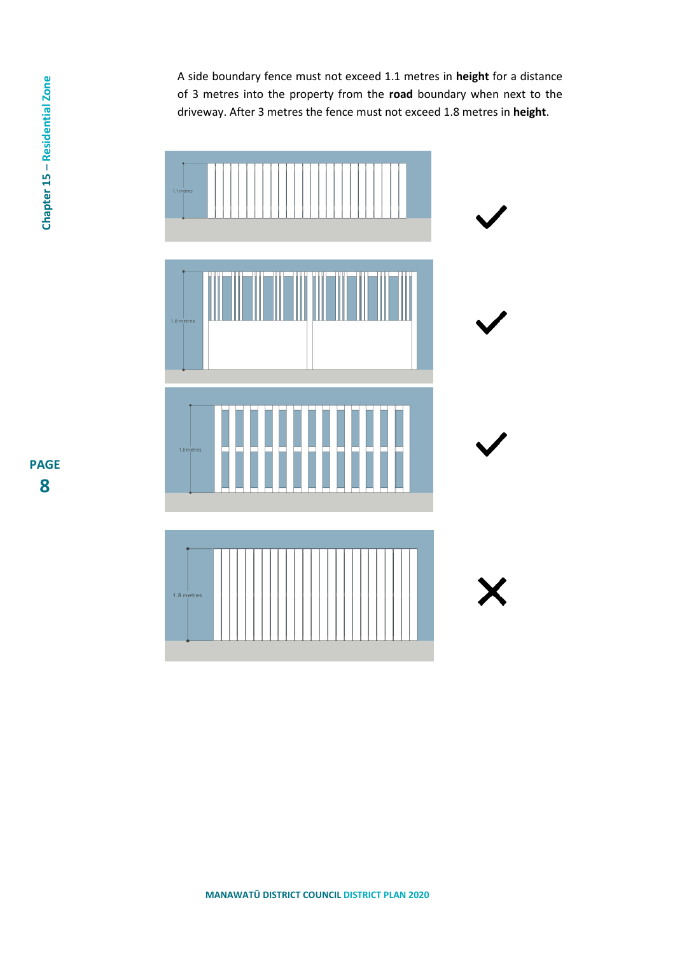A side boundary fence must not exceed 1.1 metres in **height** for a distance of 3 metres into the property from the **road** boundary when next to the driveway. After 3 metres the fence must not exceed 1.8 metres in **height**.

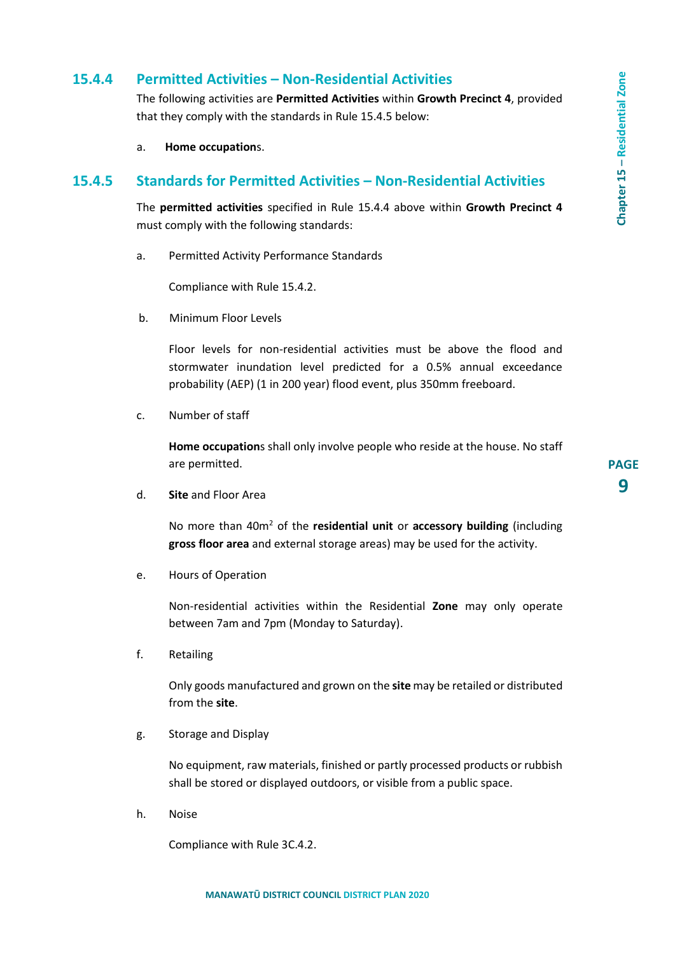### <span id="page-10-0"></span>**15.4.4 Permitted Activities – Non-Residential Activities**

The following activities are **Permitted Activities** within **Growth Precinct 4**, provided that they comply with the standards in Rule 15.4.5 below:

a. **Home occupation**s.

## <span id="page-10-1"></span>**15.4.5 Standards for Permitted Activities – Non-Residential Activities**

The **permitted activities** specified in Rule 15.4.4 above within **Growth Precinct 4** must comply with the following standards:

a. Permitted Activity Performance Standards

Compliance with Rule 15.4.2.

b. Minimum Floor Levels

Floor levels for non-residential activities must be above the flood and stormwater inundation level predicted for a 0.5% annual exceedance probability (AEP) (1 in 200 year) flood event, plus 350mm freeboard.

c. Number of staff

**Home occupation**s shall only involve people who reside at the house. No staff are permitted.

d. **Site** and Floor Area

No more than 40m<sup>2</sup> of the **residential unit** or **accessory building** (including **gross floor area** and external storage areas) may be used for the activity.

e. Hours of Operation

Non-residential activities within the Residential **Zone** may only operate between 7am and 7pm (Monday to Saturday).

f. Retailing

Only goods manufactured and grown on the **site** may be retailed or distributed from the **site**.

g. Storage and Display

No equipment, raw materials, finished or partly processed products or rubbish shall be stored or displayed outdoors, or visible from a public space.

h. Noise

Compliance with Rule 3C.4.2.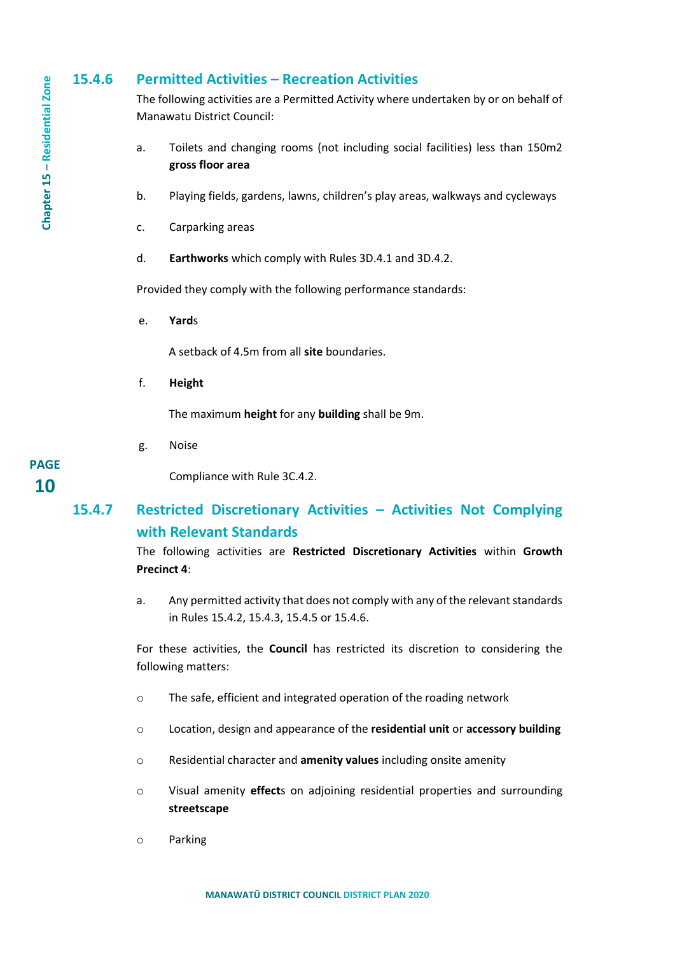# <span id="page-11-0"></span>**15.4.6 Permitted Activities – Recreation Activities**

The following activities are a Permitted Activity where undertaken by or on behalf of Manawatu District Council:

- a. Toilets and changing rooms (not including social facilities) less than 150m2 **gross floor area**
- b. Playing fields, gardens, lawns, children's play areas, walkways and cycleways
- c. Carparking areas
- d. **Earthworks** which comply with Rules 3D.4.1 and 3D.4.2.

Provided they comply with the following performance standards:

e. **Yard**s

A setback of 4.5m from all **site** boundaries.

f. **Height**

The maximum **height** for any **building** shall be 9m.

g. Noise

# **PAGE 10**

# Compliance with Rule 3C.4.2.

# <span id="page-11-1"></span>**15.4.7 Restricted Discretionary Activities – Activities Not Complying with Relevant Standards**

The following activities are **Restricted Discretionary Activities** within **Growth Precinct 4**:

a. Any permitted activity that does not comply with any of the relevant standards in Rules 15.4.2, 15.4.3, 15.4.5 or 15.4.6.

For these activities, the **Council** has restricted its discretion to considering the following matters:

- o The safe, efficient and integrated operation of the roading network
- o Location, design and appearance of the **residential unit** or **accessory building**
- o Residential character and **amenity values** including onsite amenity
- o Visual amenity **effect**s on adjoining residential properties and surrounding **streetscape**
- o Parking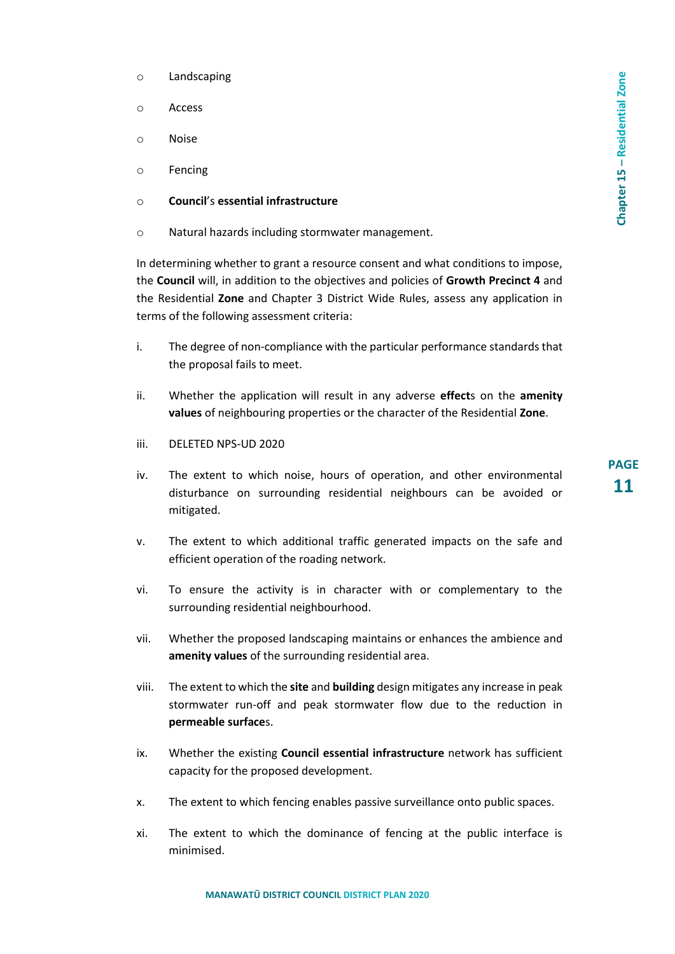- o Landscaping
- o Access
- o Noise
- o Fencing
- o **Council**'s **essential infrastructure**
- o Natural hazards including stormwater management.

In determining whether to grant a resource consent and what conditions to impose, the **Council** will, in addition to the objectives and policies of **Growth Precinct 4** and the Residential **Zone** and Chapter 3 District Wide Rules, assess any application in terms of the following assessment criteria:

- i. The degree of non-compliance with the particular performance standards that the proposal fails to meet.
- ii. Whether the application will result in any adverse **effect**s on the **amenity values** of neighbouring properties or the character of the Residential **Zone**.
- iii. DELETED NPS-UD 2020
- iv. The extent to which noise, hours of operation, and other environmental disturbance on surrounding residential neighbours can be avoided or mitigated.
- v. The extent to which additional traffic generated impacts on the safe and efficient operation of the roading network.
- vi. To ensure the activity is in character with or complementary to the surrounding residential neighbourhood.
- vii. Whether the proposed landscaping maintains or enhances the ambience and **amenity values** of the surrounding residential area.
- viii. The extent to which the **site** and **building** design mitigates any increase in peak stormwater run-off and peak stormwater flow due to the reduction in **permeable surface**s.
- ix. Whether the existing **Council essential infrastructure** network has sufficient capacity for the proposed development.
- x. The extent to which fencing enables passive surveillance onto public spaces.
- xi. The extent to which the dominance of fencing at the public interface is minimised.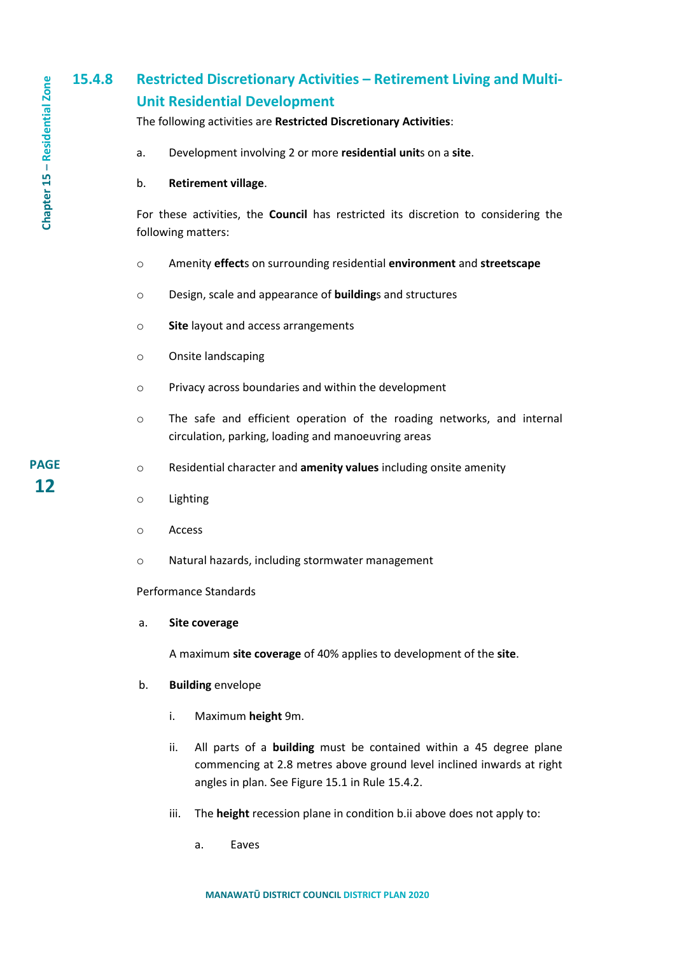# <span id="page-13-0"></span>**15.4.8 Restricted Discretionary Activities – Retirement Living and Multi-Unit Residential Development**

The following activities are **Restricted Discretionary Activities**:

a. Development involving 2 or more **residential unit**s on a **site**.

#### b. **Retirement village**.

For these activities, the **Council** has restricted its discretion to considering the following matters:

- o Amenity **effect**s on surrounding residential **environment** and **streetscape**
- o Design, scale and appearance of **building**s and structures
- o **Site** layout and access arrangements
- o Onsite landscaping
- o Privacy across boundaries and within the development
- o The safe and efficient operation of the roading networks, and internal circulation, parking, loading and manoeuvring areas
- o Residential character and **amenity values** including onsite amenity
	- o Lighting
	- o Access
	- o Natural hazards, including stormwater management

#### Performance Standards

#### a. **Site coverage**

A maximum **site coverage** of 40% applies to development of the **site**.

#### b. **Building** envelope

- i. Maximum **height** 9m.
- ii. All parts of a **building** must be contained within a 45 degree plane commencing at 2.8 metres above ground level inclined inwards at right angles in plan. See Figure 15.1 in Rule 15.4.2.
- iii. The **height** recession plane in condition b.ii above does not apply to:
	- a. Eaves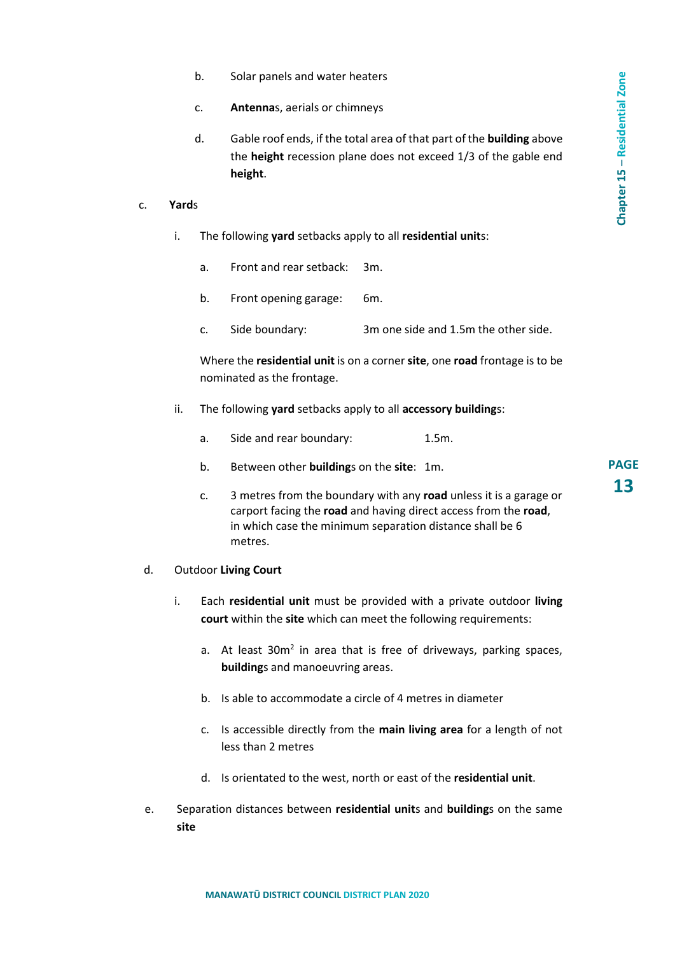- b. Solar panels and water heaters
- c. **Antenna**s, aerials or chimneys
- d. Gable roof ends, if the total area of that part of the **building** above the **height** recession plane does not exceed 1/3 of the gable end **height**.

#### c. **Yard**s

- i. The following **yard** setbacks apply to all **residential unit**s:
	- a. Front and rear setback: 3m.
	- b. Front opening garage: 6m.
	- c. Side boundary: 3m one side and 1.5m the other side.

Where the **residential unit** is on a corner **site**, one **road** frontage is to be nominated as the frontage.

- ii. The following **yard** setbacks apply to all **accessory building**s:
	- a. Side and rear boundary: 1.5m.
	- b. Between other **building**s on the **site**: 1m.
	- c. 3 metres from the boundary with any **road** unless it is a garage or carport facing the **road** and having direct access from the **road**, in which case the minimum separation distance shall be 6 metres.
- d. Outdoor **Living Court**
	- i. Each **residential unit** must be provided with a private outdoor **living court** within the **site** which can meet the following requirements:
		- a. At least 30m<sup>2</sup> in area that is free of driveways, parking spaces, **building**s and manoeuvring areas.
		- b. Is able to accommodate a circle of 4 metres in diameter
		- c. Is accessible directly from the **main living area** for a length of not less than 2 metres
		- d. Is orientated to the west, north or east of the **residential unit**.
- e. Separation distances between **residential unit**s and **building**s on the same **site**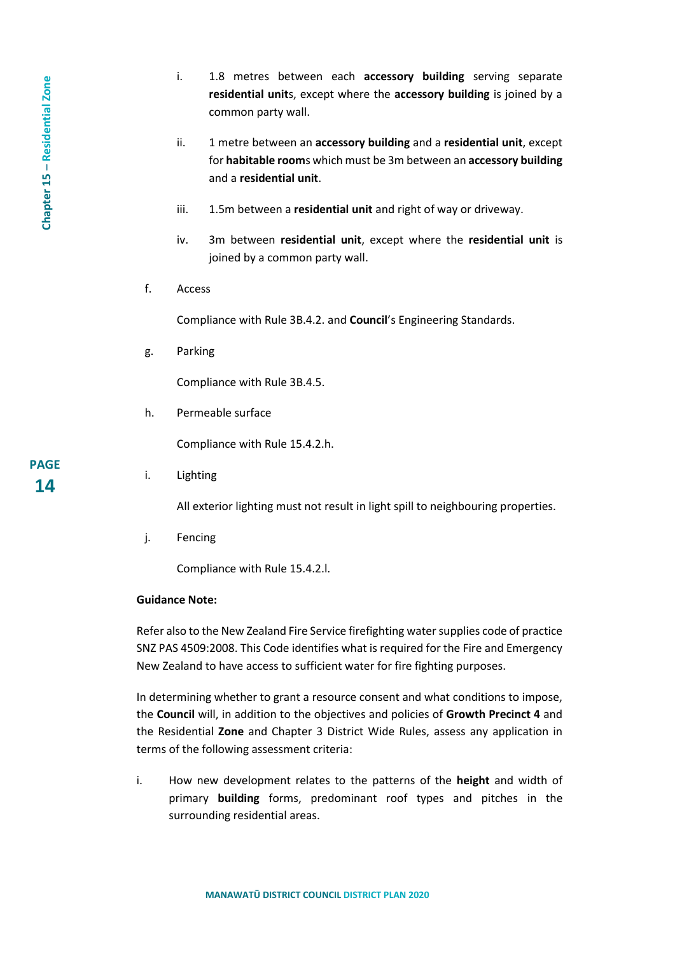- i. 1.8 metres between each **accessory building** serving separate **residential unit**s, except where the **accessory building** is joined by a common party wall.
- ii. 1 metre between an **accessory building** and a **residential unit**, except for **habitable room**s which must be 3m between an **accessory building** and a **residential unit**.
- iii. 1.5m between a **residential unit** and right of way or driveway.
- iv. 3m between **residential unit**, except where the **residential unit** is joined by a common party wall.
- f. Access

Compliance with Rule 3B.4.2. and **Council**'s Engineering Standards.

g. Parking

Compliance with Rule 3B.4.5.

h. Permeable surface

Compliance with Rule 15.4.2.h.

#### i. Lighting

All exterior lighting must not result in light spill to neighbouring properties.

j. Fencing

Compliance with Rule 15.4.2.l.

#### **Guidance Note:**

Refer also to the New Zealand Fire Service firefighting water supplies code of practice SNZ PAS 4509:2008. This Code identifies what is required for the Fire and Emergency New Zealand to have access to sufficient water for fire fighting purposes.

In determining whether to grant a resource consent and what conditions to impose, the **Council** will, in addition to the objectives and policies of **Growth Precinct 4** and the Residential **Zone** and Chapter 3 District Wide Rules, assess any application in terms of the following assessment criteria:

i. How new development relates to the patterns of the **height** and width of primary **building** forms, predominant roof types and pitches in the surrounding residential areas.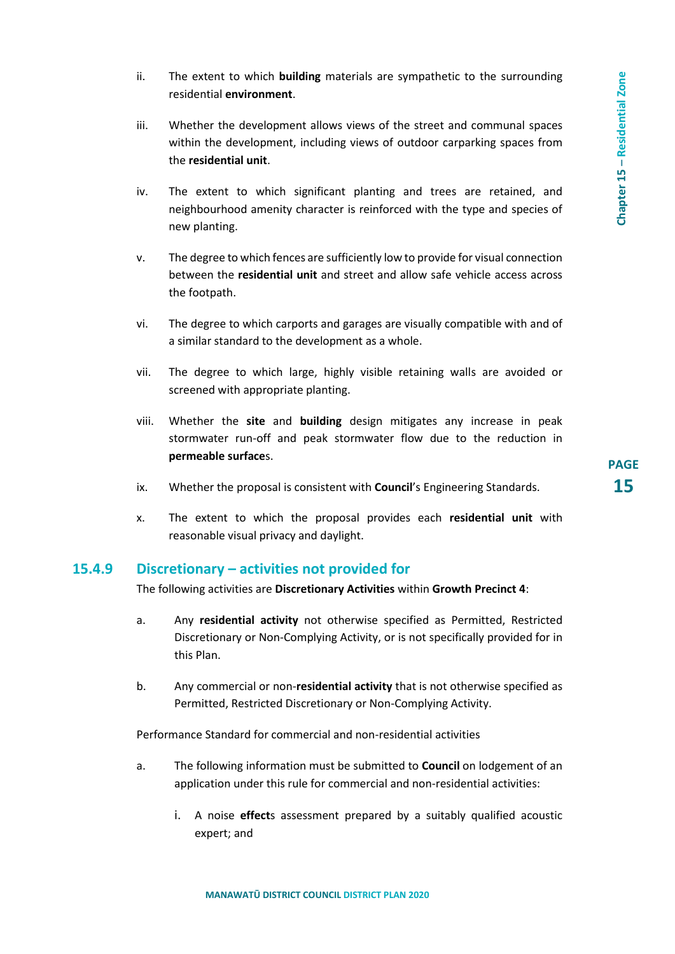- ii. The extent to which **building** materials are sympathetic to the surrounding residential **environment**.
- iii. Whether the development allows views of the street and communal spaces within the development, including views of outdoor carparking spaces from the **residential unit**.
- iv. The extent to which significant planting and trees are retained, and neighbourhood amenity character is reinforced with the type and species of new planting.
- v. The degree to which fences are sufficiently low to provide for visual connection between the **residential unit** and street and allow safe vehicle access across the footpath.
- vi. The degree to which carports and garages are visually compatible with and of a similar standard to the development as a whole.
- vii. The degree to which large, highly visible retaining walls are avoided or screened with appropriate planting.
- viii. Whether the **site** and **building** design mitigates any increase in peak stormwater run-off and peak stormwater flow due to the reduction in **permeable surface**s.
- ix. Whether the proposal is consistent with **Council**'s Engineering Standards.
- x. The extent to which the proposal provides each **residential unit** with reasonable visual privacy and daylight.

## <span id="page-16-0"></span>**15.4.9 Discretionary – activities not provided for**

The following activities are **Discretionary Activities** within **Growth Precinct 4**:

- a. Any **residential activity** not otherwise specified as Permitted, Restricted Discretionary or Non-Complying Activity, or is not specifically provided for in this Plan.
- b. Any commercial or non-**residential activity** that is not otherwise specified as Permitted, Restricted Discretionary or Non-Complying Activity.

Performance Standard for commercial and non-residential activities

- a. The following information must be submitted to **Council** on lodgement of an application under this rule for commercial and non-residential activities:
	- i. A noise **effect**s assessment prepared by a suitably qualified acoustic expert; and